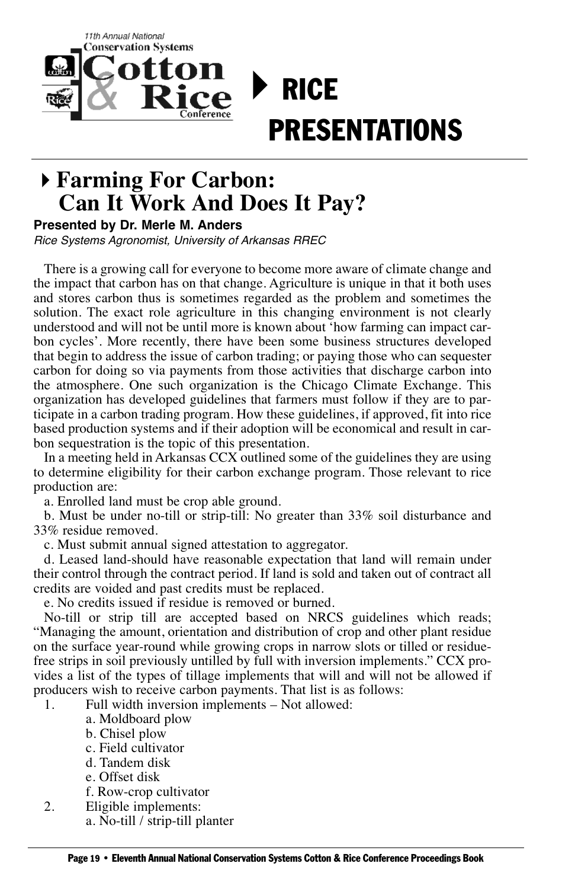

## **Farming For Carbon: Can It Work And Does It Pay?**

## **Presented by Dr. Merle M. Anders**

Rice Systems Agronomist, University of Arkansas RREC

There is a growing call for everyone to become more aware of climate change and the impact that carbon has on that change. Agriculture is unique in that it both uses and stores carbon thus is sometimes regarded as the problem and sometimes the solution. The exact role agriculture in this changing environment is not clearly understood and will not be until more is known about 'how farming can impact carbon cycles'. More recently, there have been some business structures developed that begin to address the issue of carbon trading; or paying those who can sequester carbon for doing so via payments from those activities that discharge carbon into the atmosphere. One such organization is the Chicago Climate Exchange. This organization has developed guidelines that farmers must follow if they are to participate in a carbon trading program. How these guidelines, if approved, fit into rice based production systems and if their adoption will be economical and result in carbon sequestration is the topic of this presentation.

In a meeting held in Arkansas CCX outlined some of the guidelines they are using to determine eligibility for their carbon exchange program. Those relevant to rice production are:

a. Enrolled land must be crop able ground.

b. Must be under no-till or strip-till: No greater than 33% soil disturbance and 33% residue removed.

c. Must submit annual signed attestation to aggregator.

d. Leased land-should have reasonable expectation that land will remain under their control through the contract period. If land is sold and taken out of contract all credits are voided and past credits must be replaced.

e. No credits issued if residue is removed or burned.

No-till or strip till are accepted based on NRCS guidelines which reads; "Managing the amount, orientation and distribution of crop and other plant residue on the surface year-round while growing crops in narrow slots or tilled or residuefree strips in soil previously untilled by full with inversion implements." CCX provides a list of the types of tillage implements that will and will not be allowed if producers wish to receive carbon payments. That list is as follows:

1. Full width inversion implements – Not allowed:

- a. Moldboard plow
- b. Chisel plow
- c. Field cultivator
- d. Tandem disk
- e. Offset disk
- f. Row-crop cultivator
- 2. Eligible implements:
	- a. No-till / strip-till planter